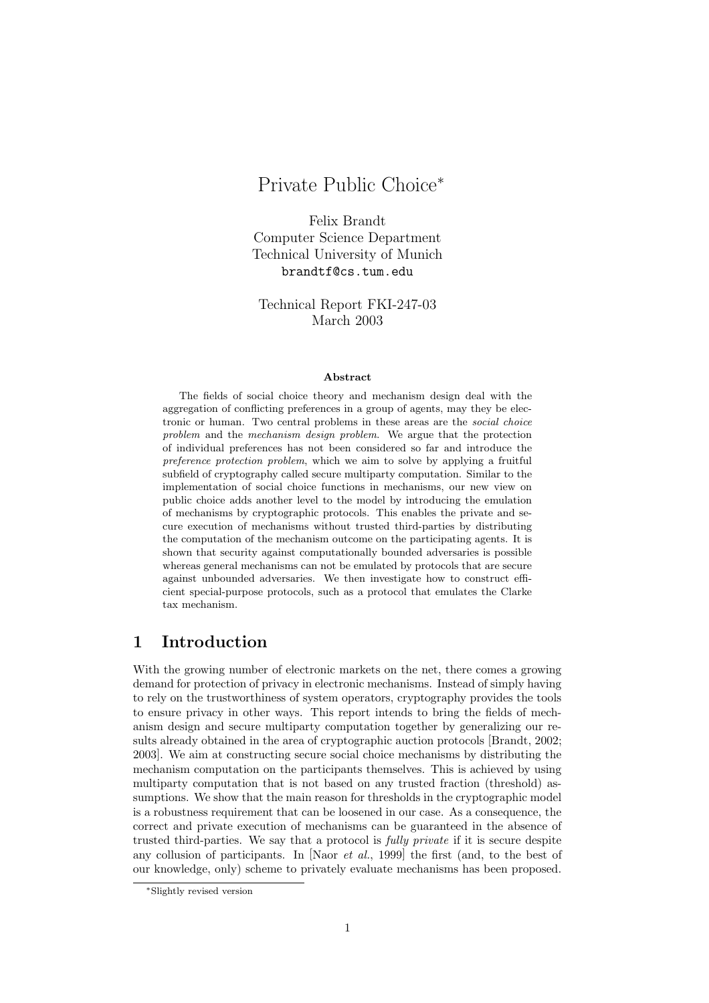# Private Public Choice<sup>∗</sup>

Felix Brandt Computer Science Department Technical University of Munich brandtf@cs.tum.edu

Technical Report FKI-247-03 March 2003

#### Abstract

The fields of social choice theory and mechanism design deal with the aggregation of conflicting preferences in a group of agents, may they be electronic or human. Two central problems in these areas are the social choice problem and the mechanism design problem. We argue that the protection of individual preferences has not been considered so far and introduce the preference protection problem, which we aim to solve by applying a fruitful subfield of cryptography called secure multiparty computation. Similar to the implementation of social choice functions in mechanisms, our new view on public choice adds another level to the model by introducing the emulation of mechanisms by cryptographic protocols. This enables the private and secure execution of mechanisms without trusted third-parties by distributing the computation of the mechanism outcome on the participating agents. It is shown that security against computationally bounded adversaries is possible whereas general mechanisms can not be emulated by protocols that are secure against unbounded adversaries. We then investigate how to construct efficient special-purpose protocols, such as a protocol that emulates the Clarke tax mechanism.

## 1 Introduction

With the growing number of electronic markets on the net, there comes a growing demand for protection of privacy in electronic mechanisms. Instead of simply having to rely on the trustworthiness of system operators, cryptography provides the tools to ensure privacy in other ways. This report intends to bring the fields of mechanism design and secure multiparty computation together by generalizing our results already obtained in the area of cryptographic auction protocols [Brandt, 2002; 2003]. We aim at constructing secure social choice mechanisms by distributing the mechanism computation on the participants themselves. This is achieved by using multiparty computation that is not based on any trusted fraction (threshold) assumptions. We show that the main reason for thresholds in the cryptographic model is a robustness requirement that can be loosened in our case. As a consequence, the correct and private execution of mechanisms can be guaranteed in the absence of trusted third-parties. We say that a protocol is fully private if it is secure despite any collusion of participants. In [Naor et al., 1999] the first (and, to the best of our knowledge, only) scheme to privately evaluate mechanisms has been proposed.

<sup>∗</sup>Slightly revised version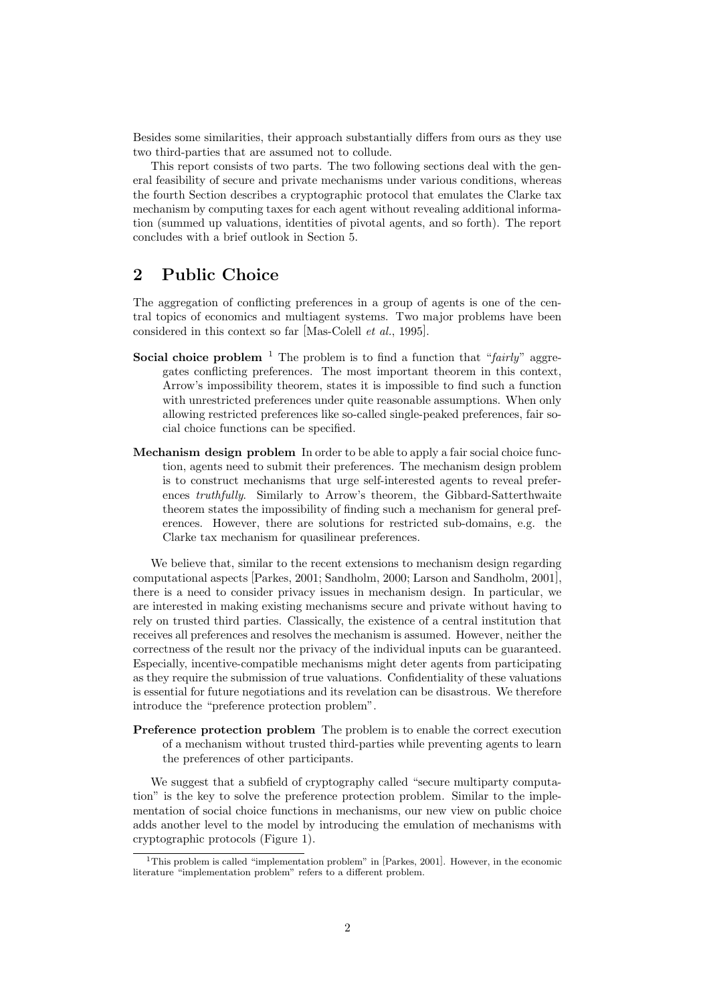Besides some similarities, their approach substantially differs from ours as they use two third-parties that are assumed not to collude.

This report consists of two parts. The two following sections deal with the general feasibility of secure and private mechanisms under various conditions, whereas the fourth Section describes a cryptographic protocol that emulates the Clarke tax mechanism by computing taxes for each agent without revealing additional information (summed up valuations, identities of pivotal agents, and so forth). The report concludes with a brief outlook in Section 5.

# 2 Public Choice

The aggregation of conflicting preferences in a group of agents is one of the central topics of economics and multiagent systems. Two major problems have been considered in this context so far [Mas-Colell et al., 1995].

- **Social choice problem** <sup>1</sup> The problem is to find a function that "fairly" aggregates conflicting preferences. The most important theorem in this context, Arrow's impossibility theorem, states it is impossible to find such a function with unrestricted preferences under quite reasonable assumptions. When only allowing restricted preferences like so-called single-peaked preferences, fair social choice functions can be specified.
- Mechanism design problem In order to be able to apply a fair social choice function, agents need to submit their preferences. The mechanism design problem is to construct mechanisms that urge self-interested agents to reveal preferences truthfully. Similarly to Arrow's theorem, the Gibbard-Satterthwaite theorem states the impossibility of finding such a mechanism for general preferences. However, there are solutions for restricted sub-domains, e.g. the Clarke tax mechanism for quasilinear preferences.

We believe that, similar to the recent extensions to mechanism design regarding computational aspects [Parkes, 2001; Sandholm, 2000; Larson and Sandholm, 2001], there is a need to consider privacy issues in mechanism design. In particular, we are interested in making existing mechanisms secure and private without having to rely on trusted third parties. Classically, the existence of a central institution that receives all preferences and resolves the mechanism is assumed. However, neither the correctness of the result nor the privacy of the individual inputs can be guaranteed. Especially, incentive-compatible mechanisms might deter agents from participating as they require the submission of true valuations. Confidentiality of these valuations is essential for future negotiations and its revelation can be disastrous. We therefore introduce the "preference protection problem".

Preference protection problem The problem is to enable the correct execution of a mechanism without trusted third-parties while preventing agents to learn the preferences of other participants.

We suggest that a subfield of cryptography called "secure multiparty computation" is the key to solve the preference protection problem. Similar to the implementation of social choice functions in mechanisms, our new view on public choice adds another level to the model by introducing the emulation of mechanisms with cryptographic protocols (Figure 1).

<sup>&</sup>lt;sup>1</sup>This problem is called "implementation problem" in [Parkes, 2001]. However, in the economic literature "implementation problem" refers to a different problem.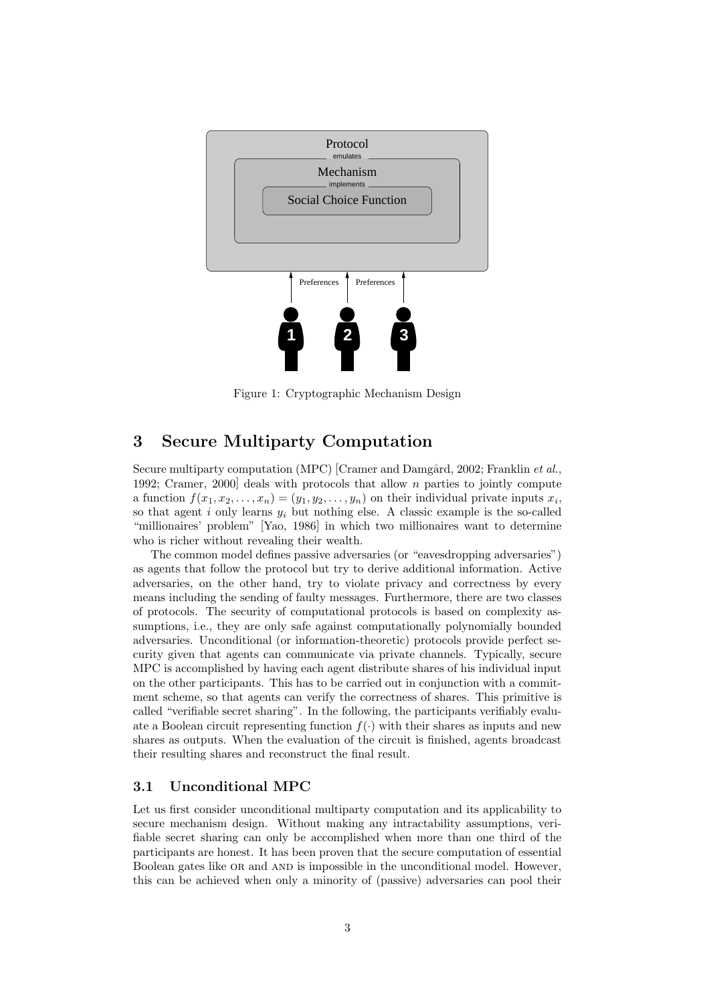

Figure 1: Cryptographic Mechanism Design

# 3 Secure Multiparty Computation

Secure multiparty computation (MPC) [Cramer and Damgård, 2002; Franklin et al., 1992; Cramer, 2000] deals with protocols that allow n parties to jointly compute a function  $f(x_1, x_2, \ldots, x_n) = (y_1, y_2, \ldots, y_n)$  on their individual private inputs  $x_i$ , so that agent  $i$  only learns  $y_i$  but nothing else. A classic example is the so-called "millionaires' problem" [Yao, 1986] in which two millionaires want to determine who is richer without revealing their wealth.

The common model defines passive adversaries (or "eavesdropping adversaries") as agents that follow the protocol but try to derive additional information. Active adversaries, on the other hand, try to violate privacy and correctness by every means including the sending of faulty messages. Furthermore, there are two classes of protocols. The security of computational protocols is based on complexity assumptions, i.e., they are only safe against computationally polynomially bounded adversaries. Unconditional (or information-theoretic) protocols provide perfect security given that agents can communicate via private channels. Typically, secure MPC is accomplished by having each agent distribute shares of his individual input on the other participants. This has to be carried out in conjunction with a commitment scheme, so that agents can verify the correctness of shares. This primitive is called "verifiable secret sharing". In the following, the participants verifiably evaluate a Boolean circuit representing function  $f(.)$  with their shares as inputs and new shares as outputs. When the evaluation of the circuit is finished, agents broadcast their resulting shares and reconstruct the final result.

## 3.1 Unconditional MPC

Let us first consider unconditional multiparty computation and its applicability to secure mechanism design. Without making any intractability assumptions, verifiable secret sharing can only be accomplished when more than one third of the participants are honest. It has been proven that the secure computation of essential Boolean gates like OR and AND is impossible in the unconditional model. However, this can be achieved when only a minority of (passive) adversaries can pool their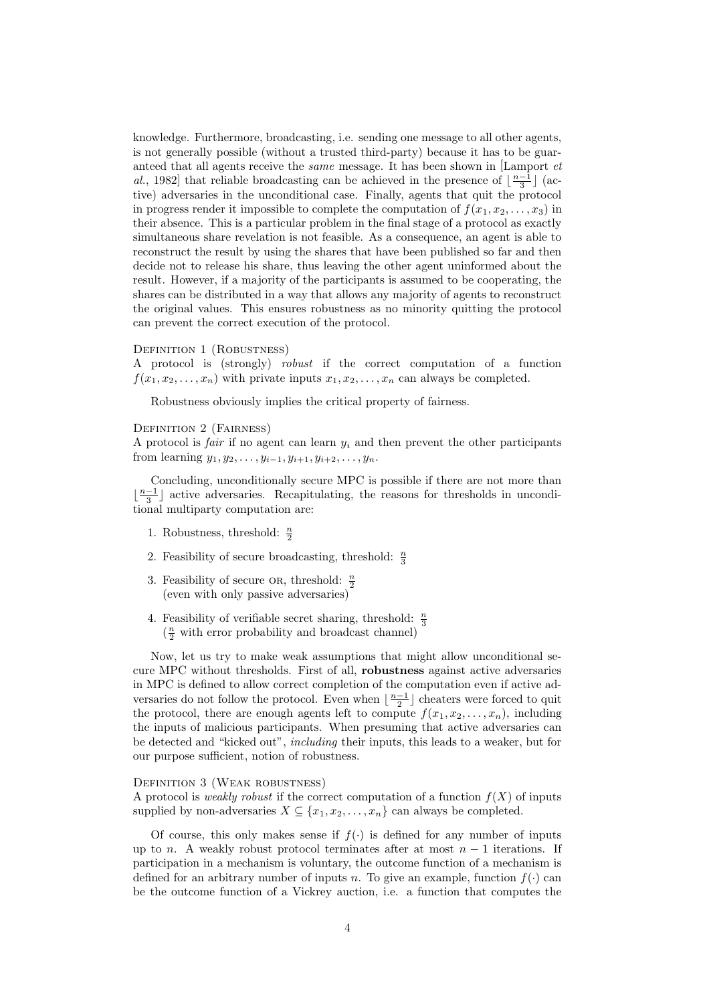knowledge. Furthermore, broadcasting, i.e. sending one message to all other agents, is not generally possible (without a trusted third-party) because it has to be guaranteed that all agents receive the same message. It has been shown in [Lamport et al., 1982] that reliable broadcasting can be achieved in the presence of  $\lfloor \frac{n-1}{3} \rfloor$  (active) adversaries in the unconditional case. Finally, agents that quit the protocol in progress render it impossible to complete the computation of  $f(x_1, x_2, \ldots, x_3)$  in their absence. This is a particular problem in the final stage of a protocol as exactly simultaneous share revelation is not feasible. As a consequence, an agent is able to reconstruct the result by using the shares that have been published so far and then decide not to release his share, thus leaving the other agent uninformed about the result. However, if a majority of the participants is assumed to be cooperating, the shares can be distributed in a way that allows any majority of agents to reconstruct the original values. This ensures robustness as no minority quitting the protocol can prevent the correct execution of the protocol.

#### DEFINITION 1 (ROBUSTNESS)

A protocol is (strongly) robust if the correct computation of a function  $f(x_1, x_2, \ldots, x_n)$  with private inputs  $x_1, x_2, \ldots, x_n$  can always be completed.

Robustness obviously implies the critical property of fairness.

#### DEFINITION 2 (FAIRNESS)

A protocol is *fair* if no agent can learn  $y_i$  and then prevent the other participants from learning  $y_1, y_2, \ldots, y_{i-1}, y_{i+1}, y_{i+2}, \ldots, y_n$ .

Concluding, unconditionally secure MPC is possible if there are not more than  $\lfloor \frac{n-1}{3} \rfloor$  active adversaries. Recapitulating, the reasons for thresholds in unconditional multiparty computation are:

- 1. Robustness, threshold:  $\frac{n}{2}$
- 2. Feasibility of secure broadcasting, threshold:  $\frac{n}{3}$
- 3. Feasibility of secure OR, threshold:  $\frac{n}{2}$ (even with only passive adversaries)
- 4. Feasibility of verifiable secret sharing, threshold:  $\frac{n}{3}$  $(\frac{n}{2}$  with error probability and broadcast channel)

Now, let us try to make weak assumptions that might allow unconditional secure MPC without thresholds. First of all, robustness against active adversaries in MPC is defined to allow correct completion of the computation even if active adversaries do not follow the protocol. Even when  $\lfloor \frac{n-1}{2} \rfloor$  cheaters were forced to quit the protocol, there are enough agents left to compute  $f(x_1, x_2, \ldots, x_n)$ , including the inputs of malicious participants. When presuming that active adversaries can be detected and "kicked out", including their inputs, this leads to a weaker, but for our purpose sufficient, notion of robustness.

#### Definition 3 (Weak robustness)

A protocol is *weakly robust* if the correct computation of a function  $f(X)$  of inputs supplied by non-adversaries  $X \subseteq \{x_1, x_2, \ldots, x_n\}$  can always be completed.

Of course, this only makes sense if  $f(.)$  is defined for any number of inputs up to n. A weakly robust protocol terminates after at most  $n-1$  iterations. If participation in a mechanism is voluntary, the outcome function of a mechanism is defined for an arbitrary number of inputs n. To give an example, function  $f(.)$  can be the outcome function of a Vickrey auction, i.e. a function that computes the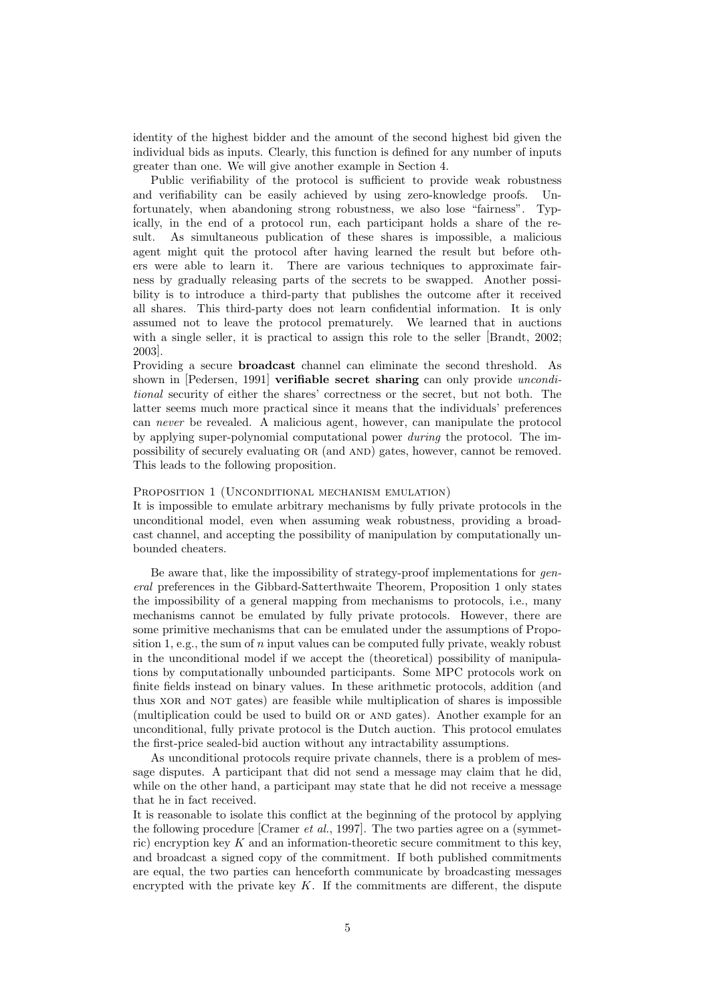identity of the highest bidder and the amount of the second highest bid given the individual bids as inputs. Clearly, this function is defined for any number of inputs greater than one. We will give another example in Section 4.

Public verifiability of the protocol is sufficient to provide weak robustness and verifiability can be easily achieved by using zero-knowledge proofs. Unfortunately, when abandoning strong robustness, we also lose "fairness". Typically, in the end of a protocol run, each participant holds a share of the result. As simultaneous publication of these shares is impossible, a malicious agent might quit the protocol after having learned the result but before others were able to learn it. There are various techniques to approximate fairness by gradually releasing parts of the secrets to be swapped. Another possibility is to introduce a third-party that publishes the outcome after it received all shares. This third-party does not learn confidential information. It is only assumed not to leave the protocol prematurely. We learned that in auctions with a single seller, it is practical to assign this role to the seller [Brandt, 2002; 2003].

Providing a secure broadcast channel can eliminate the second threshold. As shown in [Pedersen, 1991] **verifiable secret sharing** can only provide *uncondi*tional security of either the shares' correctness or the secret, but not both. The latter seems much more practical since it means that the individuals' preferences can never be revealed. A malicious agent, however, can manipulate the protocol by applying super-polynomial computational power during the protocol. The impossibility of securely evaluating or (and and) gates, however, cannot be removed. This leads to the following proposition.

#### PROPOSITION 1 (UNCONDITIONAL MECHANISM EMULATION)

It is impossible to emulate arbitrary mechanisms by fully private protocols in the unconditional model, even when assuming weak robustness, providing a broadcast channel, and accepting the possibility of manipulation by computationally unbounded cheaters.

Be aware that, like the impossibility of strategy-proof implementations for general preferences in the Gibbard-Satterthwaite Theorem, Proposition 1 only states the impossibility of a general mapping from mechanisms to protocols, i.e., many mechanisms cannot be emulated by fully private protocols. However, there are some primitive mechanisms that can be emulated under the assumptions of Proposition 1, e.g., the sum of n input values can be computed fully private, weakly robust in the unconditional model if we accept the (theoretical) possibility of manipulations by computationally unbounded participants. Some MPC protocols work on finite fields instead on binary values. In these arithmetic protocols, addition (and thus xor and not gates) are feasible while multiplication of shares is impossible (multiplication could be used to build OR or AND gates). Another example for an unconditional, fully private protocol is the Dutch auction. This protocol emulates the first-price sealed-bid auction without any intractability assumptions.

As unconditional protocols require private channels, there is a problem of message disputes. A participant that did not send a message may claim that he did, while on the other hand, a participant may state that he did not receive a message that he in fact received.

It is reasonable to isolate this conflict at the beginning of the protocol by applying the following procedure  $[Cramer \textit{et al.}, 1997]$ . The two parties agree on a (symmetric) encryption key K and an information-theoretic secure commitment to this key, and broadcast a signed copy of the commitment. If both published commitments are equal, the two parties can henceforth communicate by broadcasting messages encrypted with the private key  $K$ . If the commitments are different, the dispute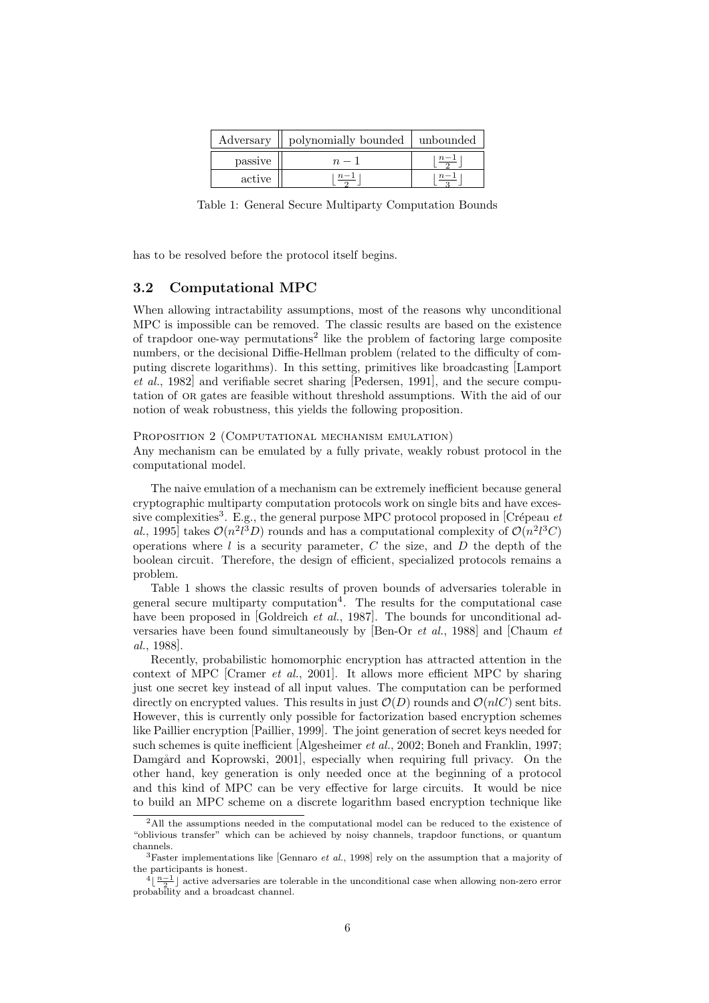| Adversary | polynomially bounded | unbounded |
|-----------|----------------------|-----------|
| passive   |                      | $n-1$     |
| active    | $n - 1$              | $n - 1$   |

Table 1: General Secure Multiparty Computation Bounds

has to be resolved before the protocol itself begins.

## 3.2 Computational MPC

When allowing intractability assumptions, most of the reasons why unconditional MPC is impossible can be removed. The classic results are based on the existence of trapdoor one-way permutations<sup>2</sup> like the problem of factoring large composite numbers, or the decisional Diffie-Hellman problem (related to the difficulty of computing discrete logarithms). In this setting, primitives like broadcasting [Lamport et al., 1982] and verifiable secret sharing [Pedersen, 1991], and the secure computation of or gates are feasible without threshold assumptions. With the aid of our notion of weak robustness, this yields the following proposition.

#### PROPOSITION 2 (COMPUTATIONAL MECHANISM EMULATION)

Any mechanism can be emulated by a fully private, weakly robust protocol in the computational model.

The naive emulation of a mechanism can be extremely inefficient because general cryptographic multiparty computation protocols work on single bits and have excessive complexities<sup>3</sup>. E.g., the general purpose MPC protocol proposed in [Crépeau et al., 1995] takes  $\mathcal{O}(n^2 l^3 D)$  rounds and has a computational complexity of  $\mathcal{O}(n^2 l^3 C)$ operations where  $l$  is a security parameter,  $C$  the size, and  $D$  the depth of the boolean circuit. Therefore, the design of efficient, specialized protocols remains a problem.

Table 1 shows the classic results of proven bounds of adversaries tolerable in general secure multiparty computation<sup>4</sup> . The results for the computational case have been proposed in [Goldreich *et al.*, 1987]. The bounds for unconditional adversaries have been found simultaneously by [Ben-Or et al., 1988] and [Chaum et al., 1988].

Recently, probabilistic homomorphic encryption has attracted attention in the context of MPC [Cramer et al., 2001]. It allows more efficient MPC by sharing just one secret key instead of all input values. The computation can be performed directly on encrypted values. This results in just  $\mathcal{O}(D)$  rounds and  $\mathcal{O}(nC)$  sent bits. However, this is currently only possible for factorization based encryption schemes like Paillier encryption [Paillier, 1999]. The joint generation of secret keys needed for such schemes is quite inefficient [Algesheimer et al., 2002; Boneh and Franklin, 1997; Damgård and Koprowski, 2001], especially when requiring full privacy. On the other hand, key generation is only needed once at the beginning of a protocol and this kind of MPC can be very effective for large circuits. It would be nice to build an MPC scheme on a discrete logarithm based encryption technique like

<sup>&</sup>lt;sup>2</sup>All the assumptions needed in the computational model can be reduced to the existence of "oblivious transfer" which can be achieved by noisy channels, trapdoor functions, or quantum channels.

<sup>&</sup>lt;sup>3</sup>Faster implementations like [Gennaro *et al.*, 1998] rely on the assumption that a majority of the participants is honest.

 $\frac{4}{2}$  active adversaries are tolerable in the unconditional case when allowing non-zero error probability and a broadcast channel.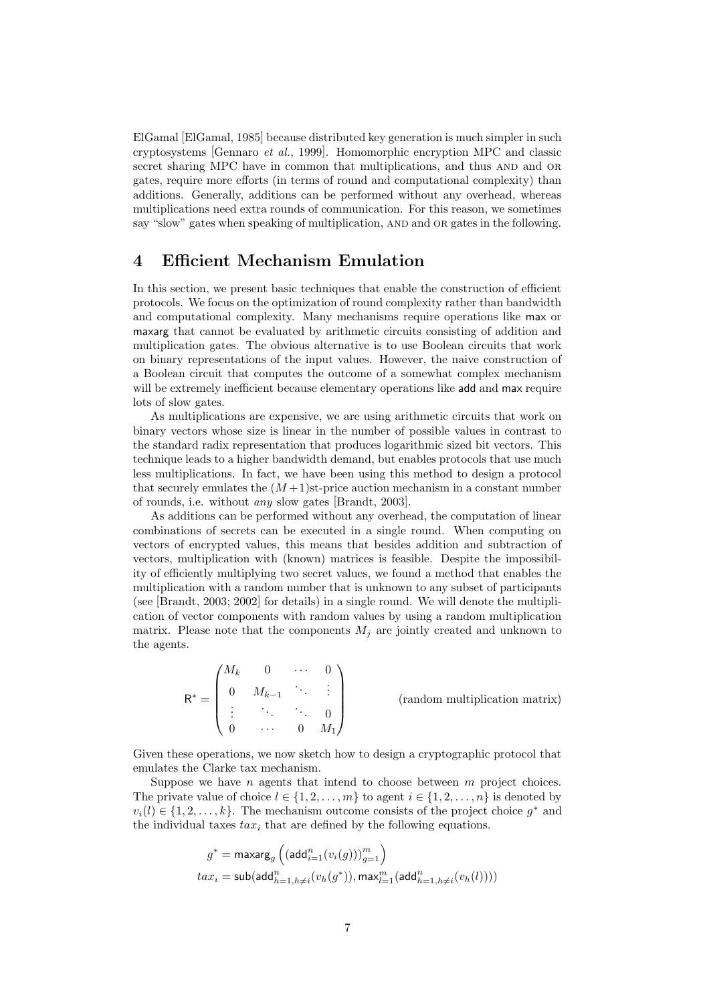ElGamal [ElGamal, 1985] because distributed key generation is much simpler in such cryptosystems [Gennaro et al., 1999]. Homomorphic encryption MPC and classic secret sharing MPC have in common that multiplications, and thus AND and OR gates, require more efforts (in terms of round and computational complexity) than additions. Generally, additions can be performed without any overhead, whereas multiplications need extra rounds of communication. For this reason, we sometimes say "slow" gates when speaking of multiplication, and and or gates in the following.

## 4 Efficient Mechanism Emulation

In this section, we present basic techniques that enable the construction of efficient protocols. We focus on the optimization of round complexity rather than bandwidth and computational complexity. Many mechanisms require operations like max or maxarg that cannot be evaluated by arithmetic circuits consisting of addition and multiplication gates. The obvious alternative is to use Boolean circuits that work on binary representations of the input values. However, the naive construction of a Boolean circuit that computes the outcome of a somewhat complex mechanism will be extremely inefficient because elementary operations like add and max require lots of slow gates.

As multiplications are expensive, we are using arithmetic circuits that work on binary vectors whose size is linear in the number of possible values in contrast to the standard radix representation that produces logarithmic sized bit vectors. This technique leads to a higher bandwidth demand, but enables protocols that use much less multiplications. In fact, we have been using this method to design a protocol that securely emulates the  $(M+1)$ st-price auction mechanism in a constant number of rounds, i.e. without any slow gates [Brandt, 2003].

As additions can be performed without any overhead, the computation of linear combinations of secrets can be executed in a single round. When computing on vectors of encrypted values, this means that besides addition and subtraction of vectors, multiplication with (known) matrices is feasible. Despite the impossibility of efficiently multiplying two secret values, we found a method that enables the multiplication with a random number that is unknown to any subset of participants (see [Brandt, 2003; 2002] for details) in a single round. We will denote the multiplication of vector components with random values by using a random multiplication matrix. Please note that the components  $M_j$  are jointly created and unknown to the agents.

|   | $M_k$ |           |        |         |
|---|-------|-----------|--------|---------|
| г | 0     | $M_{k-1}$ |        | ٠       |
|   |       |           |        |         |
|   |       |           | $\cup$ | $M_{1}$ |

(random multiplication matrix)

Given these operations, we now sketch how to design a cryptographic protocol that emulates the Clarke tax mechanism.

Suppose we have n agents that intend to choose between  $m$  project choices. The private value of choice  $l \in \{1, 2, \ldots, m\}$  to agent  $i \in \{1, 2, \ldots, n\}$  is denoted by  $v_i(l) \in \{1, 2, \ldots, k\}$ . The mechanism outcome consists of the project choice  $g^*$  and the individual taxes  $tax_i$  that are defined by the following equations.

$$
\begin{aligned} g^* &= \mathsf{maxarg}_g \left( (\mathsf{add}_{i=1}^n (v_i(g)))_{g=1}^m \right) \\ tax_i &= \mathsf{sub} (\mathsf{add}_{h=1,h\neq i}^n (v_h(g^*)), \mathsf{max}_{l=1}^m (\mathsf{add}_{h=1,h\neq i}^n (v_h(l)))) \end{aligned}
$$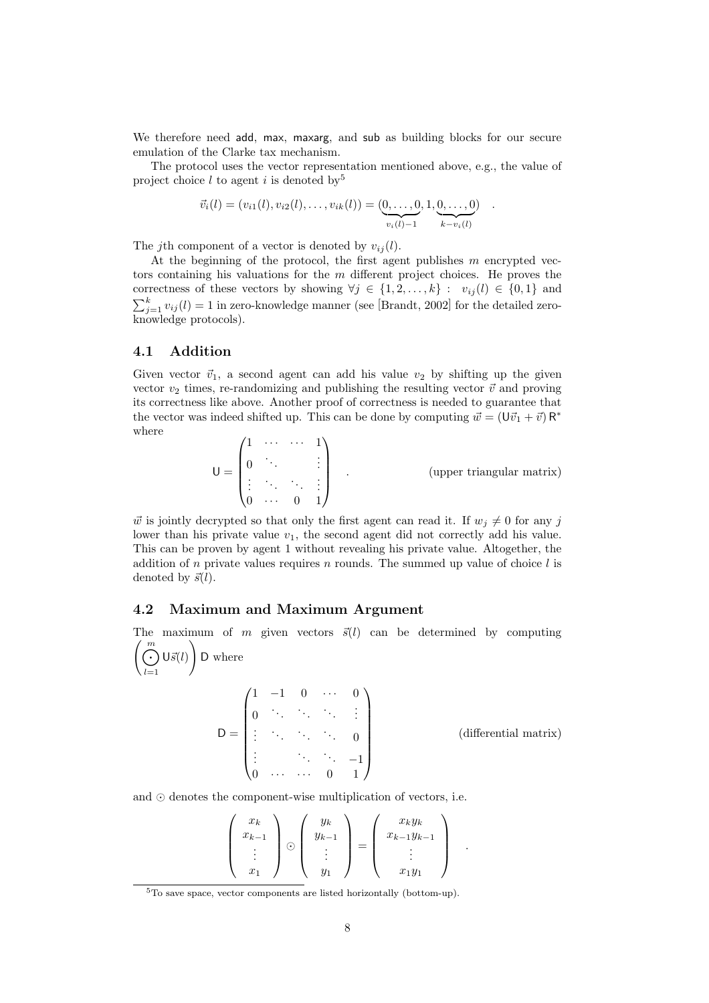We therefore need add, max, maxarg, and sub as building blocks for our secure emulation of the Clarke tax mechanism.

The protocol uses the vector representation mentioned above, e.g., the value of project choice  $l$  to agent  $i$  is denoted by  $5$ 

$$
\vec{v}_i(l) = (v_{i1}(l), v_{i2}(l), \dots, v_{ik}(l)) = (\underbrace{0, \dots, 0}_{v_i(l)-1}, 1, \underbrace{0, \dots, 0}_{k-v_i(l)}) \quad .
$$

The jth component of a vector is denoted by  $v_{ij}(l)$ .

At the beginning of the protocol, the first agent publishes  $m$  encrypted vectors containing his valuations for the  $m$  different project choices. He proves the correctness of these vectors by showing  $\forall j \in \{1, 2, ..., k\} : v_{ij}(l) \in \{0, 1\}$  and  $\sum_{j=1}^{k} v_{ij}(l) = 1$  in zero-knowledge manner (see [Brandt, 2002] for the detailed zeroknowledge protocols).

## 4.1 Addition

Given vector  $\vec{v}_1$ , a second agent can add his value  $v_2$  by shifting up the given vector  $v_2$  times, re-randomizing and publishing the resulting vector  $\vec{v}$  and proving its correctness like above. Another proof of correctness is needed to guarantee that the vector was indeed shifted up. This can be done by computing  $\vec{w} = (\vec{Uv_1} + \vec{v}) R^*$ where

$$
\mathsf{U} = \begin{pmatrix} 1 & \cdots & \cdots & 1 \\ 0 & \ddots & & \vdots \\ \vdots & \ddots & \ddots & \vdots \\ 0 & \cdots & 0 & 1 \end{pmatrix} \qquad \text{(upper triangular matrix)}
$$

w is jointly decrypted so that only the first agent can read it. If  $w_i \neq 0$  for any j lower than his private value  $v_1$ , the second agent did not correctly add his value. This can be proven by agent 1 without revealing his private value. Altogether, the addition of n private values requires n rounds. The summed up value of choice  $l$  is denoted by  $\vec{s}(l)$ .

### 4.2 Maximum and Maximum Argument

The maximum of m given vectors  $\vec{s}(l)$  can be determined by computing  $\lambda$ 

$$
\left(\bigodot_{l=1}^{m} \mathsf{U}\vec{s}(l)\right) \mathsf{D} \text{ where}
$$

$$
D = \begin{pmatrix} 1 & -1 & 0 & \cdots & 0 \\ 0 & \ddots & \ddots & \ddots & \vdots \\ \vdots & \ddots & \ddots & \ddots & 0 \\ \vdots & & \ddots & \ddots & -1 \\ 0 & \cdots & \cdots & 0 & 1 \end{pmatrix}
$$
 (differential matrix)

and  $\odot$  denotes the component-wise multiplication of vectors, i.e.

| $x_k$<br>$x_{k-1}$ |         | $y_k$<br>$y_{k-1}$ |  | $x_k y_k$<br>$x_{k-1}y_{k-1}$ |  |
|--------------------|---------|--------------------|--|-------------------------------|--|
|                    | $\cdot$ |                    |  |                               |  |
| $x_1$              |         |                    |  | $x_1y_1$                      |  |

<sup>5</sup>To save space, vector components are listed horizontally (bottom-up).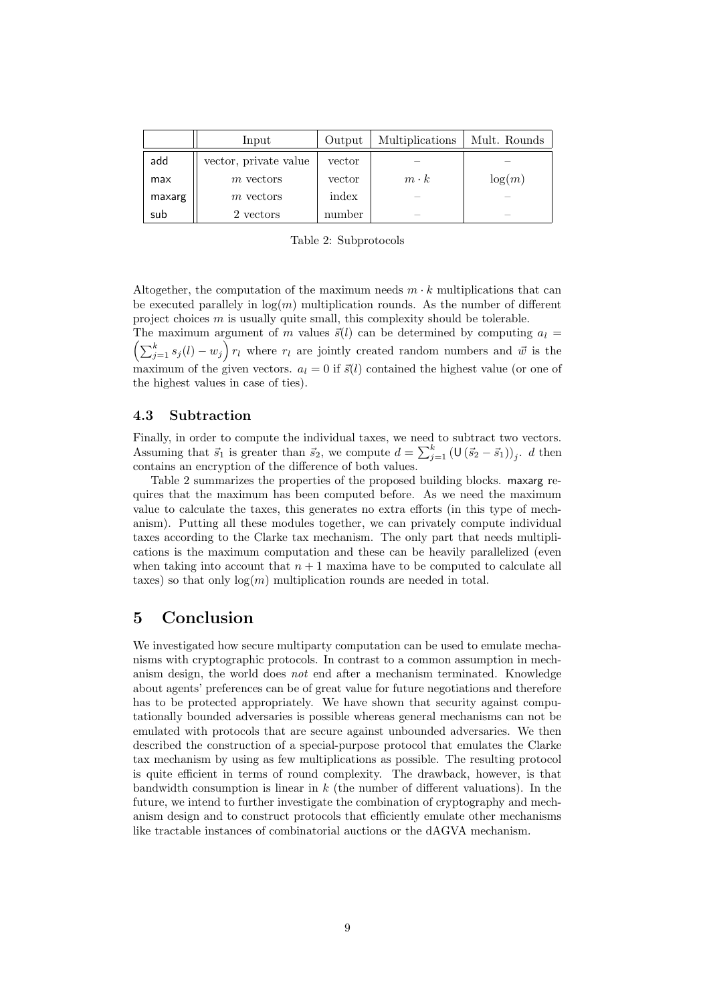|        | Input                 | Output | Multiplications | Mult. Rounds             |
|--------|-----------------------|--------|-----------------|--------------------------|
| add    | vector, private value | vector |                 |                          |
| max    | $m$ vectors           | vector | $m \cdot k$     | log(m)                   |
| maxarg | $m$ vectors           | index  | -               |                          |
| sub    | 2 vectors             | number | -               | $\overline{\phantom{a}}$ |

Table 2: Subprotocols

Altogether, the computation of the maximum needs  $m \cdot k$  multiplications that can be executed parallely in  $log(m)$  multiplication rounds. As the number of different project choices  $m$  is usually quite small, this complexity should be tolerable.

The maximum argument of m values  $\vec{s}(l)$  can be determined by computing  $a_l = \left(\sum_{j=1}^k s_j(l) - w_j\right) r_l$  where  $r_l$  are jointly created random numbers and  $\vec{w}$  is the maximum of the given vectors.  $a_l = 0$  if  $\vec{s}(l)$  contained the highest value (or one of the highest values in case of ties).

## 4.3 Subtraction

Finally, in order to compute the individual taxes, we need to subtract two vectors. Assuming that  $\vec{s}_1$  is greater than  $\vec{s}_2$ , we compute  $d = \sum_{j=1}^k (\mathsf{U}(\vec{s}_2 - \vec{s}_1))_j$ . d then contains an encryption of the difference of both values.

Table 2 summarizes the properties of the proposed building blocks. maxarg requires that the maximum has been computed before. As we need the maximum value to calculate the taxes, this generates no extra efforts (in this type of mechanism). Putting all these modules together, we can privately compute individual taxes according to the Clarke tax mechanism. The only part that needs multiplications is the maximum computation and these can be heavily parallelized (even when taking into account that  $n + 1$  maxima have to be computed to calculate all taxes) so that only  $log(m)$  multiplication rounds are needed in total.

# 5 Conclusion

We investigated how secure multiparty computation can be used to emulate mechanisms with cryptographic protocols. In contrast to a common assumption in mechanism design, the world does not end after a mechanism terminated. Knowledge about agents' preferences can be of great value for future negotiations and therefore has to be protected appropriately. We have shown that security against computationally bounded adversaries is possible whereas general mechanisms can not be emulated with protocols that are secure against unbounded adversaries. We then described the construction of a special-purpose protocol that emulates the Clarke tax mechanism by using as few multiplications as possible. The resulting protocol is quite efficient in terms of round complexity. The drawback, however, is that bandwidth consumption is linear in  $k$  (the number of different valuations). In the future, we intend to further investigate the combination of cryptography and mechanism design and to construct protocols that efficiently emulate other mechanisms like tractable instances of combinatorial auctions or the dAGVA mechanism.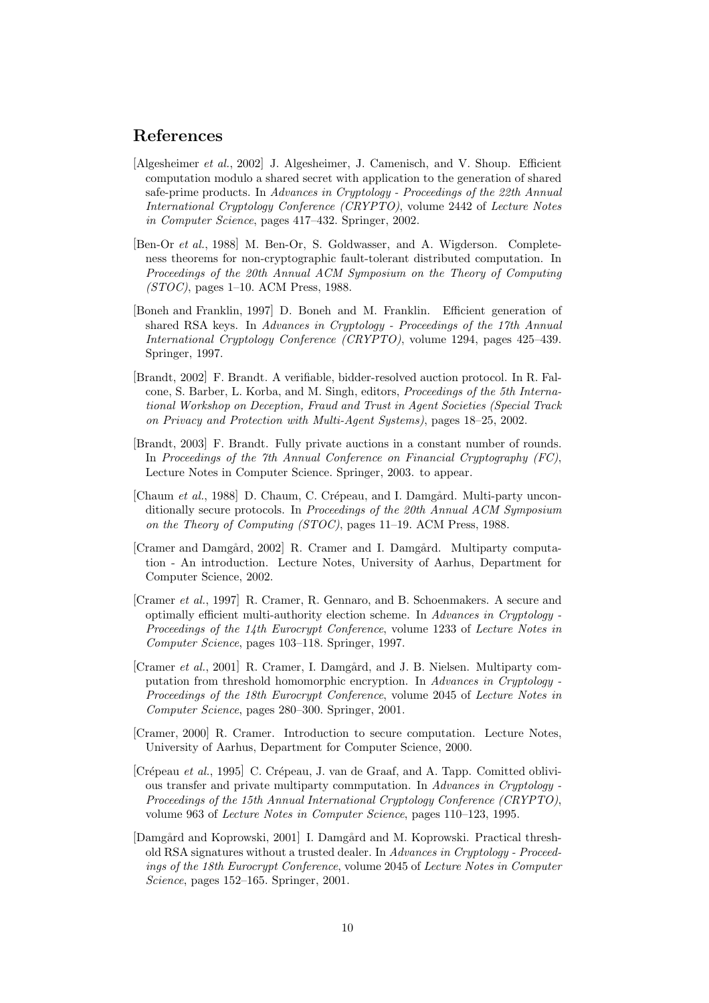# References

- [Algesheimer et al., 2002] J. Algesheimer, J. Camenisch, and V. Shoup. Efficient computation modulo a shared secret with application to the generation of shared safe-prime products. In Advances in Cryptology - Proceedings of the 22th Annual International Cryptology Conference (CRYPTO), volume 2442 of Lecture Notes in Computer Science, pages 417–432. Springer, 2002.
- [Ben-Or et al., 1988] M. Ben-Or, S. Goldwasser, and A. Wigderson. Completeness theorems for non-cryptographic fault-tolerant distributed computation. In Proceedings of the 20th Annual ACM Symposium on the Theory of Computing (STOC), pages 1–10. ACM Press, 1988.
- [Boneh and Franklin, 1997] D. Boneh and M. Franklin. Efficient generation of shared RSA keys. In Advances in Cryptology - Proceedings of the 17th Annual International Cryptology Conference (CRYPTO), volume 1294, pages 425–439. Springer, 1997.
- [Brandt, 2002] F. Brandt. A verifiable, bidder-resolved auction protocol. In R. Falcone, S. Barber, L. Korba, and M. Singh, editors, Proceedings of the 5th International Workshop on Deception, Fraud and Trust in Agent Societies (Special Track on Privacy and Protection with Multi-Agent Systems), pages 18–25, 2002.
- [Brandt, 2003] F. Brandt. Fully private auctions in a constant number of rounds. In Proceedings of the 7th Annual Conference on Financial Cryptography (FC), Lecture Notes in Computer Science. Springer, 2003. to appear.
- [Chaum et al., 1988] D. Chaum, C. Crépeau, and I. Damgård. Multi-party unconditionally secure protocols. In Proceedings of the 20th Annual ACM Symposium on the Theory of Computing (STOC), pages 11–19. ACM Press, 1988.
- [Cramer and Damgård, 2002] R. Cramer and I. Damgård. Multiparty computation - An introduction. Lecture Notes, University of Aarhus, Department for Computer Science, 2002.
- [Cramer et al., 1997] R. Cramer, R. Gennaro, and B. Schoenmakers. A secure and optimally efficient multi-authority election scheme. In Advances in Cryptology - Proceedings of the 14th Eurocrypt Conference, volume 1233 of Lecture Notes in Computer Science, pages 103–118. Springer, 1997.
- [Cramer et al., 2001] R. Cramer, I. Damgård, and J. B. Nielsen. Multiparty computation from threshold homomorphic encryption. In Advances in Cryptology - Proceedings of the 18th Eurocrypt Conference, volume 2045 of Lecture Notes in Computer Science, pages 280–300. Springer, 2001.
- [Cramer, 2000] R. Cramer. Introduction to secure computation. Lecture Notes, University of Aarhus, Department for Computer Science, 2000.
- $[Crépeau et al., 1995]$  C. Crépeau, J. van de Graaf, and A. Tapp. Comitted oblivious transfer and private multiparty commputation. In Advances in Cryptology - Proceedings of the 15th Annual International Cryptology Conference (CRYPTO), volume 963 of Lecture Notes in Computer Science, pages 110–123, 1995.
- [Damgård and Koprowski, 2001] I. Damgård and M. Koprowski. Practical threshold RSA signatures without a trusted dealer. In Advances in Cryptology - Proceedings of the 18th Eurocrypt Conference, volume 2045 of Lecture Notes in Computer Science, pages 152–165. Springer, 2001.